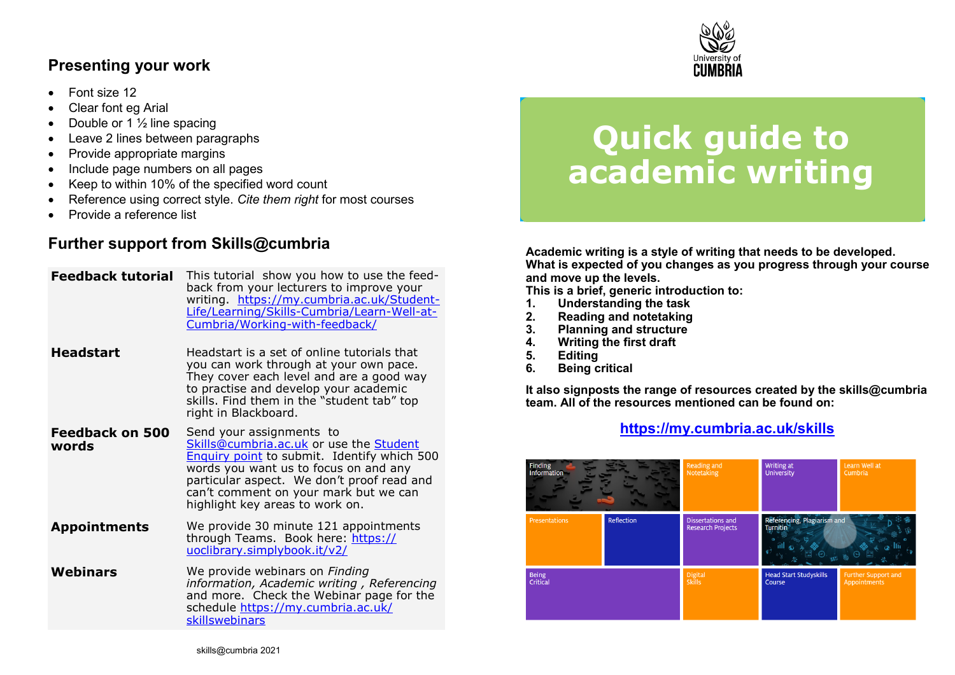## **Presenting your work**

- Font size 12
- Clear font eg Arial
- Double or 1  $\frac{1}{2}$  line spacing
- Leave 2 lines between paragraphs
- Provide appropriate margins
- Include page numbers on all pages
- Keep to within 10% of the specified word count
- Reference using correct style. *Cite them right* for most courses
- Provide a reference list

## **Further support from Skills@cumbria**

| <b>Feedback tutorial</b>        | This tutorial show you how to use the feed-<br>back from your lecturers to improve your<br>writing https://my.cumbria.ac.uk/Student-<br>Life/Learning/Skills-Cumbria/Learn-Well-at-<br>Cumbria/Working-with-feedback/                                                                        |  |  |
|---------------------------------|----------------------------------------------------------------------------------------------------------------------------------------------------------------------------------------------------------------------------------------------------------------------------------------------|--|--|
| <b>Headstart</b>                | Headstart is a set of online tutorials that<br>you can work through at your own pace.<br>They cover each level and are a good way<br>to practise and develop your academic<br>skills. Find them in the "student tab" top<br>right in Blackboard.                                             |  |  |
| <b>Feedback on 500</b><br>words | Send your assignments to<br>Skills@cumbria.ac.uk or use the Student<br><b>Enquiry point</b> to submit. Identify which 500<br>words you want us to focus on and any<br>particular aspect. We don't proof read and<br>can't comment on your mark but we can<br>highlight key areas to work on. |  |  |
| <b>Appointments</b>             | We provide 30 minute 121 appointments<br>through Teams. Book here: https://<br>uoclibrary.simplybook.it/v2/                                                                                                                                                                                  |  |  |
| <b>Webinars</b>                 | We provide webinars on Finding<br>information, Academic writing, Referencing<br>and more. Check the Webinar page for the<br>schedule https://my.cumbria.ac.uk/<br>skillswebinars                                                                                                             |  |  |



# **Quick guide to academic writing**

**Academic writing is a style of writing that needs to be developed. What is expected of you changes as you progress through your course and move up the levels.** 

**This is a brief, generic introduction to:**

- **1. Understanding the task**
- **2. Reading and notetaking**
- **3. Planning and structure**
- **4. Writing the first draft**
- **5. Editing**
- **6. Being critical**

**It also signposts the range of resources created by the skills@cumbria team. All of the resources mentioned can be found on:**

#### **[https://my.cumbria.ac.uk/skills](https://my.cumbria.ac.uk/Student-Life/Learning/Skills-Cumbria/)**

| Finding            |            | Reading and                                   | Writing at                                     | Learn Well at       |
|--------------------|------------|-----------------------------------------------|------------------------------------------------|---------------------|
| <b>Information</b> |            | Notetaking                                    | <b>University</b>                              | Cumbria             |
| Presentations      | Reflection | Dissertations and<br><b>Research Projects</b> | Referencing, Plagiarism and<br><b>Turnitin</b> |                     |
| <b>Being</b>       |            | <b>Digital</b>                                | <b>Head Start Studyskills</b>                  | Further Support and |
| Critical           |            | <b>Skills</b>                                 | Course                                         | Appointments        |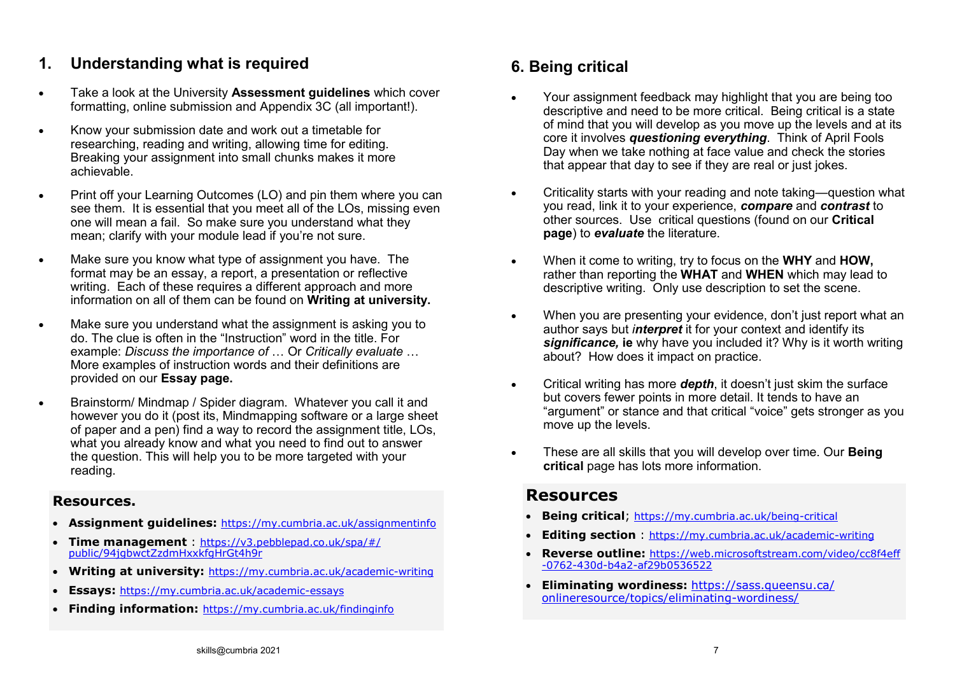#### **1. Understanding what is required**

- Take a look at the University **Assessment guidelines** which cover formatting, online submission and Appendix 3C (all important!).
- Know your submission date and work out a timetable for researching, reading and writing, allowing time for editing. Breaking your assignment into small chunks makes it more achievable.
- Print off your Learning Outcomes (LO) and pin them where you can see them. It is essential that you meet all of the LOs, missing even one will mean a fail. So make sure you understand what they mean; clarify with your module lead if you're not sure.
- Make sure you know what type of assignment you have. The format may be an essay, a report, a presentation or reflective writing. Each of these requires a different approach and more information on all of them can be found on **Writing at university.**
- Make sure you understand what the assignment is asking you to do. The clue is often in the "Instruction" word in the title. For example: *Discuss the importance of* … Or *Critically evaluate* … More examples of instruction words and their definitions are provided on our **Essay page.**
- Brainstorm/ Mindmap / Spider diagram. Whatever you call it and however you do it (post its, Mindmapping software or a large sheet of paper and a pen) find a way to record the assignment title, LOs, what you already know and what you need to find out to answer the question. This will help you to be more targeted with your reading.

#### **Resources.**

- **Assignment guidelines:** [https://my.cumbria.ac.uk/assignmentinfo](https://eur03.safelinks.protection.outlook.com/?url=https%3A%2F%2Fmy.cumbria.ac.uk%2Fassignmentinfo&data=04%7C01%7Ctrudy.purkiss%40cumbria.ac.uk%7C0e8d57468b774c1daf2c08d9a5fa1f00%7Cb627db1d99584fd18ea48ac3b27cf00f%7C1%7C0%7C637723315934652128%7CUnknown%7CTWF)
- **Time management** : [https://v3.pebblepad.co.uk/spa/#/](https://eur03.safelinks.protection.outlook.com/?url=https%3A%2F%2Fv3.pebblepad.co.uk%2Fspa%2F%23%2Fpublic%2F94jgbwctZzdmHxxkfgHrGt4h9r&data=04%7C01%7Ctrudy.purkiss%40cumbria.ac.uk%7C0c2dfd5a662846ddf1ab08d9a5ea62fd%7Cb627db1d99584fd18ea48ac3b27cf00f%7C1%7C0%7) [public/94jgbwctZzdmHxxkfgHrGt4h9r](https://eur03.safelinks.protection.outlook.com/?url=https%3A%2F%2Fv3.pebblepad.co.uk%2Fspa%2F%23%2Fpublic%2F94jgbwctZzdmHxxkfgHrGt4h9r&data=04%7C01%7Ctrudy.purkiss%40cumbria.ac.uk%7C0c2dfd5a662846ddf1ab08d9a5ea62fd%7Cb627db1d99584fd18ea48ac3b27cf00f%7C1%7C0%7)
- **Writing at university:** [https://my.cumbria.ac.uk/academic](https://eur03.safelinks.protection.outlook.com/?url=https%3A%2F%2Fmy.cumbria.ac.uk%2Facademic-writing&data=04%7C01%7Ctrudy.purkiss%40cumbria.ac.uk%7C0e8d57468b774c1daf2c08d9a5fa1f00%7Cb627db1d99584fd18ea48ac3b27cf00f%7C1%7C0%7C637723315934632215%7CUnknown%7CT)-writing
- **Essays:** [https://my.cumbria.ac.uk/academic](https://eur03.safelinks.protection.outlook.com/?url=https%3A%2F%2Fmy.cumbria.ac.uk%2Facademic-essays&data=04%7C01%7Ctrudy.purkiss%40cumbria.ac.uk%7C0e8d57468b774c1daf2c08d9a5fa1f00%7Cb627db1d99584fd18ea48ac3b27cf00f%7C1%7C0%7C637723315934642171%7CUnknown%7CTW)-essays
- **Finding information:** [https://my.cumbria.ac.uk/findinginfo](https://eur03.safelinks.protection.outlook.com/?url=https%3A%2F%2Fmy.cumbria.ac.uk%2Ffindinginfo&data=04%7C01%7Ctrudy.purkiss%40cumbria.ac.uk%7C0e8d57468b774c1daf2c08d9a5fa1f00%7Cb627db1d99584fd18ea48ac3b27cf00f%7C1%7C0%7C637723315934652128%7CUnknown%7CTWFpbG)

# **6. Being critical**

- Your assignment feedback may highlight that you are being too descriptive and need to be more critical. Being critical is a state of mind that you will develop as you move up the levels and at its core it involves *questioning everything*. Think of April Fools Day when we take nothing at face value and check the stories that appear that day to see if they are real or just jokes.
- Criticality starts with your reading and note taking—question what you read, link it to your experience, *compare* and *contrast* to other sources. Use critical questions (found on our **Critical page**) to *evaluate* the literature.
- When it come to writing, try to focus on the **WHY** and **HOW,** rather than reporting the **WHAT** and **WHEN** which may lead to descriptive writing. Only use description to set the scene.
- When you are presenting your evidence, don't just report what an author says but *interpret* it for your context and identify its *significance,* **ie** why have you included it? Why is it worth writing about? How does it impact on practice.
- Critical writing has more *depth*, it doesn't just skim the surface but covers fewer points in more detail. It tends to have an "argument" or stance and that critical "voice" gets stronger as you move up the levels.
- These are all skills that you will develop over time. Our **Being critical** page has lots more information.

#### **Resources**

- **Being critical**; [https://my.cumbria.ac.uk/being](https://eur03.safelinks.protection.outlook.com/?url=https%3A%2F%2Fmy.cumbria.ac.uk%2Fbeing-critical&data=04%7C01%7Ctrudy.purkiss%40cumbria.ac.uk%7C66a2692123a8434e4abc08d9a817cb66%7Cb627db1d99584fd18ea48ac3b27cf00f%7C1%7C0%7C637725642408061585%7CUnknown%7CTWF)-critical
- **Editing section** : [https://my.cumbria.ac.uk/academic](https://eur03.safelinks.protection.outlook.com/?url=https%3A%2F%2Fmy.cumbria.ac.uk%2Facademic-writing&data=04%7C01%7Ctrudy.purkiss%40cumbria.ac.uk%7C0e8d57468b774c1daf2c08d9a5fa1f00%7Cb627db1d99584fd18ea48ac3b27cf00f%7C1%7C0%7C637723315934632215%7CUnknown%7CT)-writing
- **Reverse outline:** [https://web.microsoftstream.com/video/cc8f4eff](https://eur03.safelinks.protection.outlook.com/?url=https%3A%2F%2Fweb.microsoftstream.com%2Fvideo%2Fcc8f4eff-0762-430d-b4a2-af29b0536522&data=04%7C01%7Ctrudy.purkiss%40cumbria.ac.uk%7C1bb5ed4bf0ca4857d1eb08d9a5f7e0a8%7Cb627db1d99584fd18ea48ac3b27cf00f%7C1%7C0) -0762-430d-b4a2-[af29b0536522](https://eur03.safelinks.protection.outlook.com/?url=https%3A%2F%2Fweb.microsoftstream.com%2Fvideo%2Fcc8f4eff-0762-430d-b4a2-af29b0536522&data=04%7C01%7Ctrudy.purkiss%40cumbria.ac.uk%7C1bb5ed4bf0ca4857d1eb08d9a5f7e0a8%7Cb627db1d99584fd18ea48ac3b27cf00f%7C1%7C0)
- **Eliminating wordiness:** [https://sass.queensu.ca/](https://sass.queensu.ca/onlineresource/topics/eliminating-wordiness/) [onlineresource/topics/eliminating](https://sass.queensu.ca/onlineresource/topics/eliminating-wordiness/)-wordiness/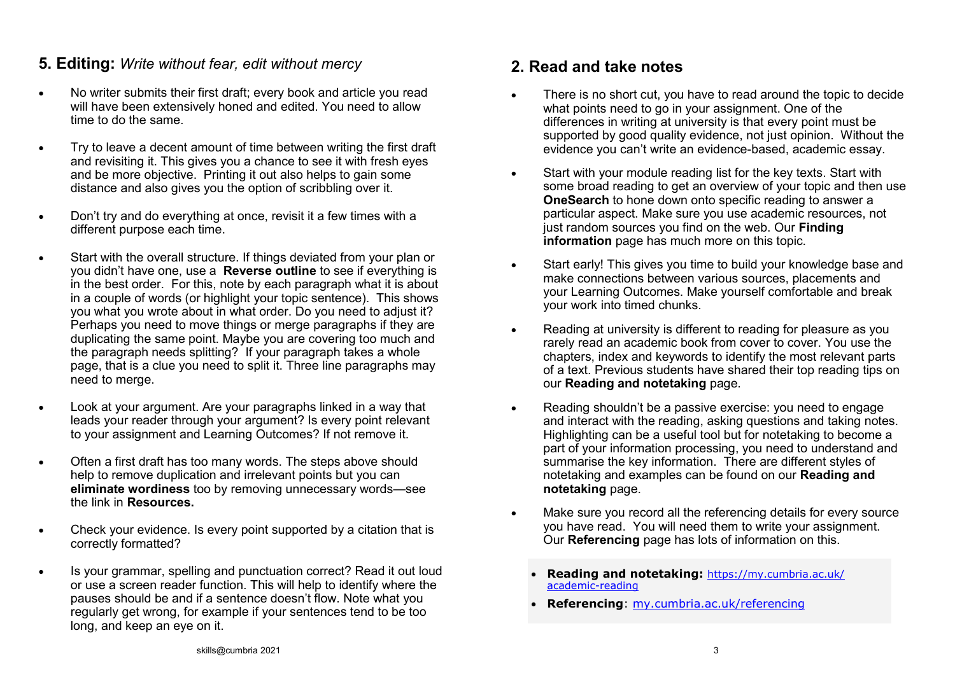#### **5. Editing:** *Write without fear, edit without mercy*

- No writer submits their first draft; every book and article you read will have been extensively honed and edited. You need to allow time to do the same.
- Try to leave a decent amount of time between writing the first draft and revisiting it. This gives you a chance to see it with fresh eyes and be more objective. Printing it out also helps to gain some distance and also gives you the option of scribbling over it.
- Don't try and do everything at once, revisit it a few times with a different purpose each time.
- Start with the overall structure. If things deviated from your plan or you didn't have one, use a **Reverse outline** to see if everything is in the best order. For this, note by each paragraph what it is about in a couple of words (or highlight your topic sentence). This shows you what you wrote about in what order. Do you need to adjust it? Perhaps you need to move things or merge paragraphs if they are duplicating the same point. Maybe you are covering too much and the paragraph needs splitting? If your paragraph takes a whole page, that is a clue you need to split it. Three line paragraphs may need to merge.
- Look at your argument. Are your paragraphs linked in a way that leads your reader through your argument? Is every point relevant to your assignment and Learning Outcomes? If not remove it.
- Often a first draft has too many words. The steps above should help to remove duplication and irrelevant points but you can **eliminate wordiness** too by removing unnecessary words—see the link in **Resources.**
- Check your evidence. Is every point supported by a citation that is correctly formatted?
- Is your grammar, spelling and punctuation correct? Read it out loud or use a screen reader function. This will help to identify where the pauses should be and if a sentence doesn't flow. Note what you regularly get wrong, for example if your sentences tend to be too long, and keep an eye on it.

#### **2. Read and take notes**

- There is no short cut, you have to read around the topic to decide what points need to go in your assignment. One of the differences in writing at university is that every point must be supported by good quality evidence, not just opinion. Without the evidence you can't write an evidence-based, academic essay.
- Start with your module reading list for the key texts. Start with some broad reading to get an overview of your topic and then use **OneSearch** to hone down onto specific reading to answer a particular aspect. Make sure you use academic resources, not just random sources you find on the web. Our **Finding information** page has much more on this topic.
- Start early! This gives you time to build your knowledge base and make connections between various sources, placements and your Learning Outcomes. Make yourself comfortable and break your work into timed chunks.
- Reading at university is different to reading for pleasure as you rarely read an academic book from cover to cover. You use the chapters, index and keywords to identify the most relevant parts of a text. Previous students have shared their top reading tips on our **Reading and notetaking** page.
- Reading shouldn't be a passive exercise: you need to engage and interact with the reading, asking questions and taking notes. Highlighting can be a useful tool but for notetaking to become a part of your information processing, you need to understand and summarise the key information. There are different styles of notetaking and examples can be found on our **Reading and notetaking** page.
- Make sure you record all the referencing details for every source you have read. You will need them to write your assignment. Our **Referencing** page has lots of information on this.
	- **Reading and notetaking:** [https://my.cumbria.ac.uk/](https://eur03.safelinks.protection.outlook.com/?url=https%3A%2F%2Fmy.cumbria.ac.uk%2Facademic-reading&data=04%7C01%7Ctrudy.purkiss%40cumbria.ac.uk%7C0e8d57468b774c1daf2c08d9a5fa1f00%7Cb627db1d99584fd18ea48ac3b27cf00f%7C1%7C0%7C637723315934642171%7CUnknown%7CT) [academic](https://eur03.safelinks.protection.outlook.com/?url=https%3A%2F%2Fmy.cumbria.ac.uk%2Facademic-reading&data=04%7C01%7Ctrudy.purkiss%40cumbria.ac.uk%7C0e8d57468b774c1daf2c08d9a5fa1f00%7Cb627db1d99584fd18ea48ac3b27cf00f%7C1%7C0%7C637723315934642171%7CUnknown%7CT)-reading
	- **Referencing**: [my.cumbria.ac.uk/referencing](https://my.cumbria.ac.uk/Student-Life/Learning/Skills-Cumbria/Referencing-and-Avoiding-Plagiarism/)